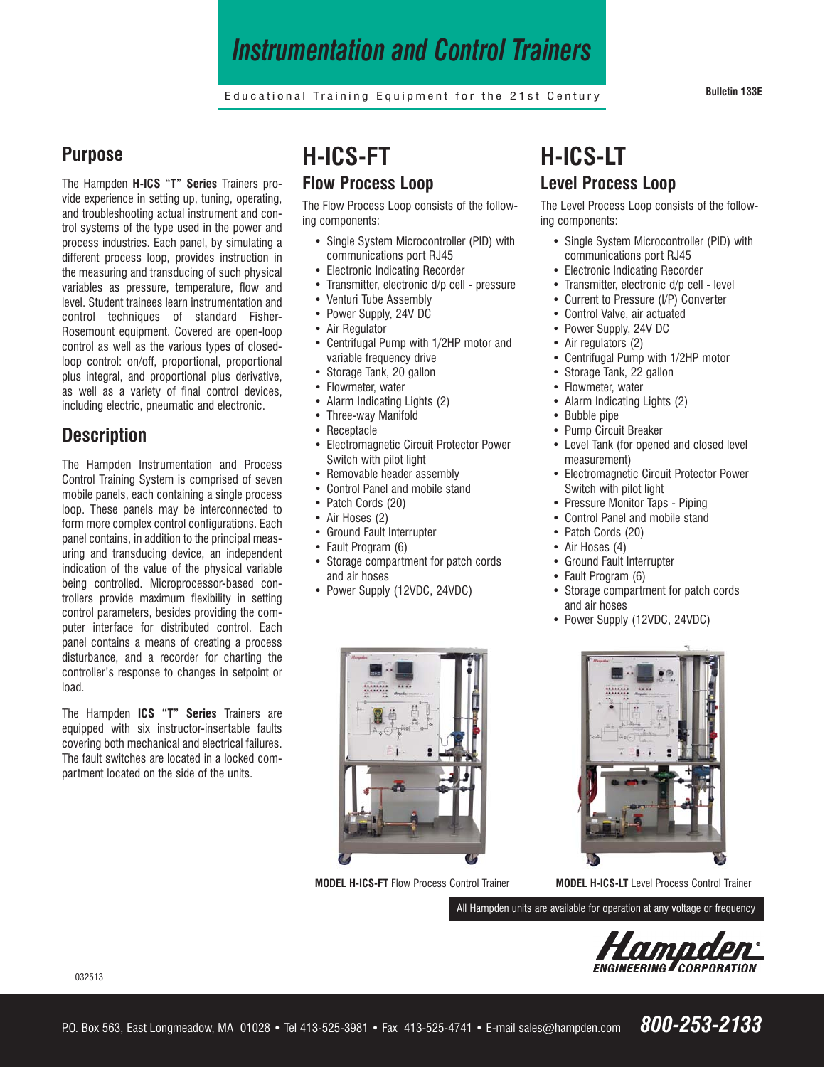## *Instrumentation and Control Trainers*

Educational Training Equipment for the 21st Century **Bulletin 133E**

#### **Purpose**

The Hampden **H-ICS "T" Series** Trainers provide experience in setting up, tuning, operating, and troubleshooting actual instrument and control systems of the type used in the power and process industries. Each panel, by simulating a different process loop, provides instruction in the measuring and transducing of such physical variables as pressure, temperature, flow and level. Student trainees learn instrumentation and control techniques of standard Fisher-Rosemount equipment. Covered are open-loop control as well as the various types of closedloop control: on/off, proportional, proportional plus integral, and proportional plus derivative, as well as a variety of final control devices, including electric, pneumatic and electronic.

### **Description**

The Hampden Instrumentation and Process Control Training System is comprised of seven mobile panels, each containing a single process loop. These panels may be interconnected to form more complex control configurations. Each panel contains, in addition to the principal measuring and transducing device, an independent indication of the value of the physical variable being controlled. Microprocessor-based controllers provide maximum flexibility in setting control parameters, besides providing the computer interface for distributed control. Each panel contains a means of creating a process disturbance, and a recorder for charting the controller's response to changes in setpoint or load.

The Hampden **ICS "T" Series** Trainers are equipped with six instructor-insertable faults covering both mechanical and electrical failures. The fault switches are located in a locked compartment located on the side of the units.

## **H-ICS-FT Flow Process Loop**

The Flow Process Loop consists of the following components:

- **•** Single System Microcontroller (PID) with communications port RJ45
- **•** Electronic Indicating Recorder
- **•** Transmitter, electronic d/p cell pressure
- **•** Venturi Tube Assembly
- **•** Power Supply, 24V DC
- **•** Air Regulator
- **•** Centrifugal Pump with 1/2HP motor and variable frequency drive
- **•** Storage Tank, 20 gallon
- **•** Flowmeter, water
- **•** Alarm Indicating Lights (2)
- **•** Three-way Manifold
- **•** Receptacle
- **•** Electromagnetic Circuit Protector Power Switch with pilot light
- **•** Removable header assembly
- **•** Control Panel and mobile stand
- **•** Patch Cords (20)
- **•** Air Hoses (2)
- **•** Ground Fault Interrupter
- **•** Fault Program (6)
- **•** Storage compartment for patch cords and air hoses
- **•** Power Supply (12VDC, 24VDC)



**MODEL H-ICS-FT** Flow Process Control Trainer

## **H-ICS-LT Level Process Loop**

The Level Process Loop consists of the following components:

- **•** Single System Microcontroller (PID) with communications port RJ45
- **•** Electronic Indicating Recorder
- **•** Transmitter, electronic d/p cell level
- **•** Current to Pressure (I/P) Converter
- **•** Control Valve, air actuated
- **•** Power Supply, 24V DC
- **•** Air regulators (2)
- **•** Centrifugal Pump with 1/2HP motor
- **•** Storage Tank, 22 gallon
- **•** Flowmeter, water
- **•** Alarm Indicating Lights (2)
- **•** Bubble pipe
- **•** Pump Circuit Breaker
- **•** Level Tank (for opened and closed level measurement)
- **•** Electromagnetic Circuit Protector Power Switch with pilot light
- **•** Pressure Monitor Taps Piping
- **•** Control Panel and mobile stand
- **•** Patch Cords (20)
- **•** Air Hoses (4)
- **•** Ground Fault Interrupter
- **•** Fault Program (6)
- **•** Storage compartment for patch cords and air hoses
- **•** Power Supply (12VDC, 24VDC)



**MODEL H-ICS-LT** Level Process Control Trainer

All Hampden units are available for operation at any voltage or frequency